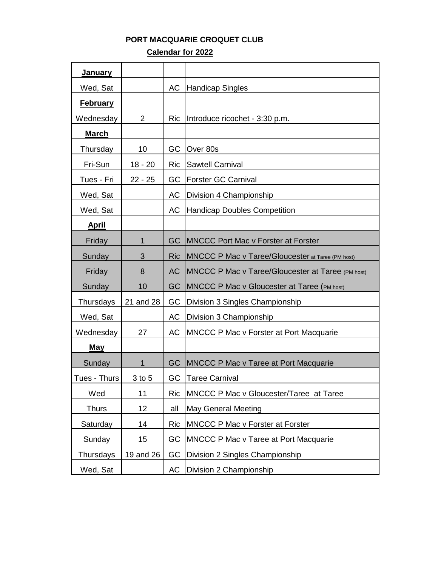## **PORT MACQUARIE CROQUET CLUB**

 **Calendar for 2022**

| <u>January</u>  |                |            |                                                    |
|-----------------|----------------|------------|----------------------------------------------------|
| Wed, Sat        |                | AC         | <b>Handicap Singles</b>                            |
| <b>February</b> |                |            |                                                    |
| Wednesday       | $\overline{2}$ | <b>Ric</b> | Introduce ricochet - 3:30 p.m.                     |
| <b>March</b>    |                |            |                                                    |
| Thursday        | 10             | GC         | Over 80s                                           |
| Fri-Sun         | $18 - 20$      | <b>Ric</b> | <b>Sawtell Carnival</b>                            |
| Tues - Fri      | $22 - 25$      | GC         | <b>Forster GC Carnival</b>                         |
| Wed, Sat        |                | AC         | Division 4 Championship                            |
| Wed, Sat        |                | AC         | <b>Handicap Doubles Competition</b>                |
| <u>April</u>    |                |            |                                                    |
| Friday          | 1              | GC         | <b>MNCCC Port Mac v Forster at Forster</b>         |
| Sunday          | 3              | <b>Ric</b> | MNCCC P Mac v Taree/Gloucester at Taree (PM host)  |
| Friday          | 8              | <b>AC</b>  | MNCCC P Mac v Taree/Gloucester at Taree (PM host)  |
| Sunday          | 10             | GC         | <b>MNCCC P Mac v Gloucester at Taree (PM host)</b> |
| Thursdays       | 21 and 28      | GC         | Division 3 Singles Championship                    |
| Wed, Sat        |                | АC         | Division 3 Championship                            |
| Wednesday       | 27             | AC         | MNCCC P Mac v Forster at Port Macquarie            |
| <b>May</b>      |                |            |                                                    |
| Sunday          | 1              | GC         | <b>MNCCC P Mac v Taree at Port Macquarie</b>       |
| Tues - Thurs    | 3 to 5         | GC         | <b>Taree Carnival</b>                              |
| Wed             | 11             | <b>Ric</b> | MNCCC P Mac v Gloucester/Taree at Taree            |
| <b>Thurs</b>    | 12             | all        | <b>May General Meeting</b>                         |
| Saturday        | 14             | <b>Ric</b> | MNCCC P Mac v Forster at Forster                   |
| Sunday          | 15             | GC         | MNCCC P Mac v Taree at Port Macquarie              |
| Thursdays       | 19 and 26      | GC         | Division 2 Singles Championship                    |
| Wed, Sat        |                | AC         | Division 2 Championship                            |